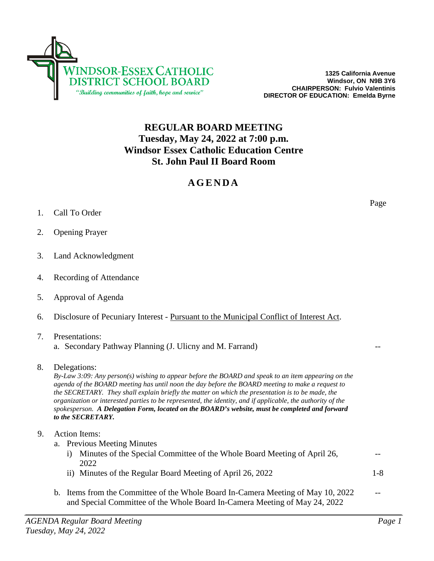

**1325 California Avenue Windsor, ON N9B 3Y6 CHAIRPERSON: Fulvio Valentinis DIRECTOR OF EDUCATION: Emelda Byrne**

## **REGULAR BOARD MEETING Tuesday, May 24, 2022 at 7:00 p.m. Windsor Essex Catholic Education Centre St. John Paul II Board Room**

# **AGENDA**

### 1. Call To Order

- 2. Opening Prayer
- 3. Land Acknowledgment
- 4. Recording of Attendance
- 5. Approval of Agenda
- 6. Disclosure of Pecuniary Interest Pursuant to the Municipal Conflict of Interest Act.

#### 7. Presentations:

- a. Secondary Pathway Planning (J. Ulicny and M. Farrand)
- 8. Delegations:

*By-Law 3:09: Any person(s) wishing to appear before the BOARD and speak to an item appearing on the agenda of the BOARD meeting has until noon the day before the BOARD meeting to make a request to the SECRETARY. They shall explain briefly the matter on which the presentation is to be made, the organization or interested parties to be represented, the identity, and if applicable, the authority of the spokesperson. A Delegation Form, located on the BOARD's website, must be completed and forward to the SECRETARY.*

#### 9. Action Items:

a. Previous Meeting Minutes

| i) Minutes of the Special Committee of the Whole Board Meeting of April 26, | $- -$   |
|-----------------------------------------------------------------------------|---------|
| 2022                                                                        |         |
| ii) Minutes of the Regular Board Meeting of April 26, 2022                  | $1 - 8$ |

b. Items from the Committee of the Whole Board In-Camera Meeting of May 10, 2022 and Special Committee of the Whole Board In-Camera Meeting of May 24, 2022 --

Page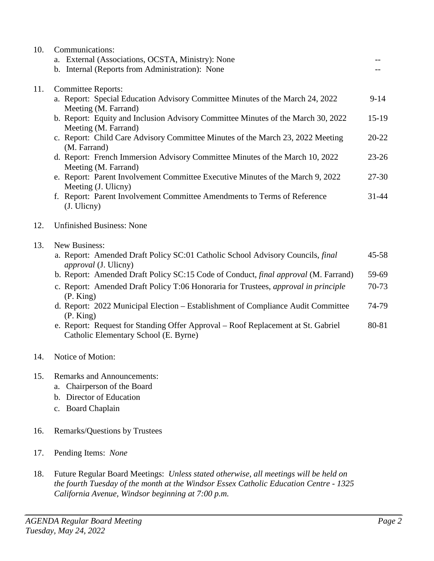| 10. | Communications:<br>a. External (Associations, OCSTA, Ministry): None<br>b. Internal (Reports from Administration): None            |           |
|-----|------------------------------------------------------------------------------------------------------------------------------------|-----------|
| 11. | <b>Committee Reports:</b><br>a. Report: Special Education Advisory Committee Minutes of the March 24, 2022<br>Meeting (M. Farrand) | $9 - 14$  |
|     | b. Report: Equity and Inclusion Advisory Committee Minutes of the March 30, 2022<br>Meeting (M. Farrand)                           | $15-19$   |
|     | c. Report: Child Care Advisory Committee Minutes of the March 23, 2022 Meeting<br>(M. Farrand)                                     | $20 - 22$ |
|     | d. Report: French Immersion Advisory Committee Minutes of the March 10, 2022<br>Meeting (M. Farrand)                               | $23 - 26$ |
|     | e. Report: Parent Involvement Committee Executive Minutes of the March 9, 2022<br>Meeting (J. Ulicny)                              | $27 - 30$ |
|     | f. Report: Parent Involvement Committee Amendments to Terms of Reference<br>(J. Ulicny)                                            | $31 - 44$ |
| 12. | <b>Unfinished Business: None</b>                                                                                                   |           |
| 13. | <b>New Business:</b>                                                                                                               |           |
|     | a. Report: Amended Draft Policy SC:01 Catholic School Advisory Councils, <i>final</i><br><i>approval</i> (J. Ulicny)               | $45 - 58$ |
|     | b. Report: Amended Draft Policy SC:15 Code of Conduct, final approval (M. Farrand)                                                 | 59-69     |
|     | c. Report: Amended Draft Policy T:06 Honoraria for Trustees, <i>approval in principle</i><br>(P. King)                             | 70-73     |
|     | d. Report: 2022 Municipal Election - Establishment of Compliance Audit Committee<br>(P. King)                                      | 74-79     |
|     | e. Report: Request for Standing Offer Approval - Roof Replacement at St. Gabriel<br>Catholic Elementary School (E. Byrne)          | 80-81     |

## 14. Notice of Motion:

- 15. Remarks and Announcements:
	- a. Chairperson of the Board
	- b. Director of Education
	- c. Board Chaplain
- 16. Remarks/Questions by Trustees
- 17. Pending Items: *None*
- 18. Future Regular Board Meetings: *Unless stated otherwise, all meetings will be held on the fourth Tuesday of the month at the Windsor Essex Catholic Education Centre - 1325 California Avenue, Windsor beginning at 7:00 p.m.*